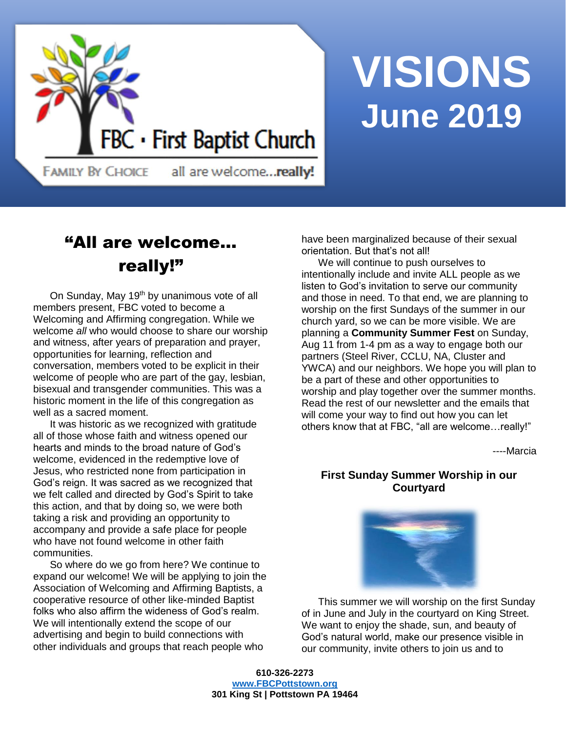

# **VISIONS June 2019**

**FAMILY BY CHOICE** 

all are welcome...really!

# "All are welcome… really!"

On Sunday, May 19<sup>th</sup> by unanimous vote of all members present, FBC voted to become a Welcoming and Affirming congregation. While we welcome *all* who would choose to share our worship and witness, after years of preparation and prayer, opportunities for learning, reflection and conversation, members voted to be explicit in their welcome of people who are part of the gay, lesbian, bisexual and transgender communities. This was a historic moment in the life of this congregation as well as a sacred moment.

It was historic as we recognized with gratitude all of those whose faith and witness opened our hearts and minds to the broad nature of God's welcome, evidenced in the redemptive love of Jesus, who restricted none from participation in God's reign. It was sacred as we recognized that we felt called and directed by God's Spirit to take this action, and that by doing so, we were both taking a risk and providing an opportunity to accompany and provide a safe place for people who have not found welcome in other faith communities.

So where do we go from here? We continue to expand our welcome! We will be applying to join the Association of Welcoming and Affirming Baptists, a cooperative resource of other like-minded Baptist folks who also affirm the wideness of God's realm. We will intentionally extend the scope of our advertising and begin to build connections with other individuals and groups that reach people who

have been marginalized because of their sexual orientation. But that's not all!

We will continue to push ourselves to intentionally include and invite ALL people as we listen to God's invitation to serve our community and those in need. To that end, we are planning to worship on the first Sundays of the summer in our church yard, so we can be more visible. We are planning a **Community Summer Fest** on Sunday, Aug 11 from 1-4 pm as a way to engage both our partners (Steel River, CCLU, NA, Cluster and YWCA) and our neighbors. We hope you will plan to be a part of these and other opportunities to worship and play together over the summer months. Read the rest of our newsletter and the emails that will come your way to find out how you can let others know that at FBC, "all are welcome…really!"

----Marcia

## **First Sunday Summer Worship in our Courtyard**



This summer we will worship on the first Sunday of in June and July in the courtyard on King Street. We want to enjoy the shade, sun, and beauty of God's natural world, make our presence visible in our community, invite others to join us and to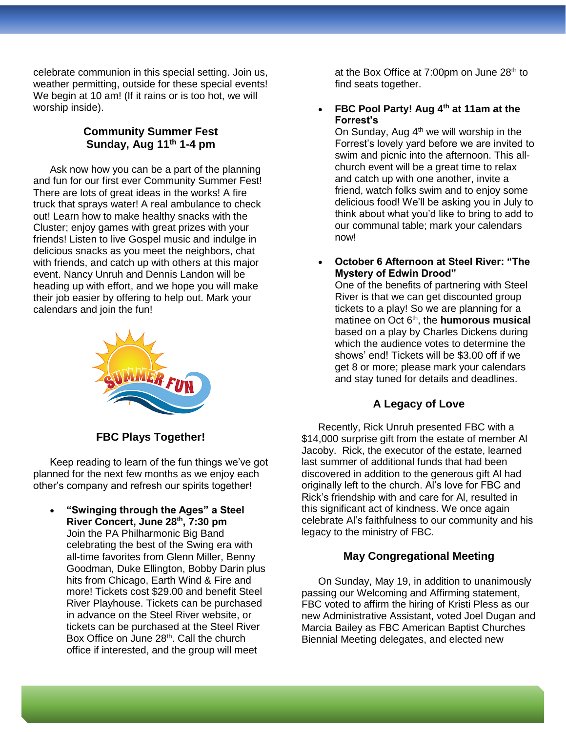celebrate communion in this special setting. Join us, weather permitting, outside for these special events! We begin at 10 am! (If it rains or is too hot, we will worship inside).

## **Community Summer Fest Sunday, Aug 11th 1-4 pm**

Ask now how you can be a part of the planning and fun for our first ever Community Summer Fest! There are lots of great ideas in the works! A fire truck that sprays water! A real ambulance to check out! Learn how to make healthy snacks with the Cluster; enjoy games with great prizes with your friends! Listen to live Gospel music and indulge in delicious snacks as you meet the neighbors, chat with friends, and catch up with others at this major event. Nancy Unruh and Dennis Landon will be heading up with effort, and we hope you will make their job easier by offering to help out. Mark your calendars and join the fun!



**FBC Plays Together!**

Keep reading to learn of the fun things we've got planned for the next few months as we enjoy each other's company and refresh our spirits together!

• **"Swinging through the Ages" a Steel River Concert, June 28th, 7:30 pm** Join the PA Philharmonic Big Band celebrating the best of the Swing era with all-time favorites from Glenn Miller, Benny Goodman, Duke Ellington, Bobby Darin plus hits from Chicago, Earth Wind & Fire and more! Tickets cost \$29.00 and benefit Steel River Playhouse. Tickets can be purchased in advance on the Steel River website, or tickets can be purchased at the Steel River Box Office on June 28<sup>th</sup>. Call the church office if interested, and the group will meet

at the Box Office at 7:00pm on June  $28<sup>th</sup>$  to find seats together.

• **FBC Pool Party! Aug 4th at 11am at the Forrest's** 

On Sunday, Aug  $4<sup>th</sup>$  we will worship in the Forrest's lovely yard before we are invited to swim and picnic into the afternoon. This allchurch event will be a great time to relax and catch up with one another, invite a friend, watch folks swim and to enjoy some delicious food! We'll be asking you in July to think about what you'd like to bring to add to our communal table; mark your calendars now!

• **October 6 Afternoon at Steel River: "The Mystery of Edwin Drood"** 

One of the benefits of partnering with Steel River is that we can get discounted group tickets to a play! So we are planning for a matinee on Oct 6<sup>th</sup>, the **humorous musical** based on a play by Charles Dickens during which the audience votes to determine the shows' end! Tickets will be \$3.00 off if we get 8 or more; please mark your calendars and stay tuned for details and deadlines.

### **A Legacy of Love**

Recently, Rick Unruh presented FBC with a \$14,000 surprise gift from the estate of member Al Jacoby. Rick, the executor of the estate, learned last summer of additional funds that had been discovered in addition to the generous gift Al had originally left to the church. Al's love for FBC and Rick's friendship with and care for Al, resulted in this significant act of kindness. We once again celebrate Al's faithfulness to our community and his legacy to the ministry of FBC.

## **May Congregational Meeting**

On Sunday, May 19, in addition to unanimously passing our Welcoming and Affirming statement, FBC voted to affirm the hiring of Kristi Pless as our new Administrative Assistant, voted Joel Dugan and Marcia Bailey as FBC American Baptist Churches Biennial Meeting delegates, and elected new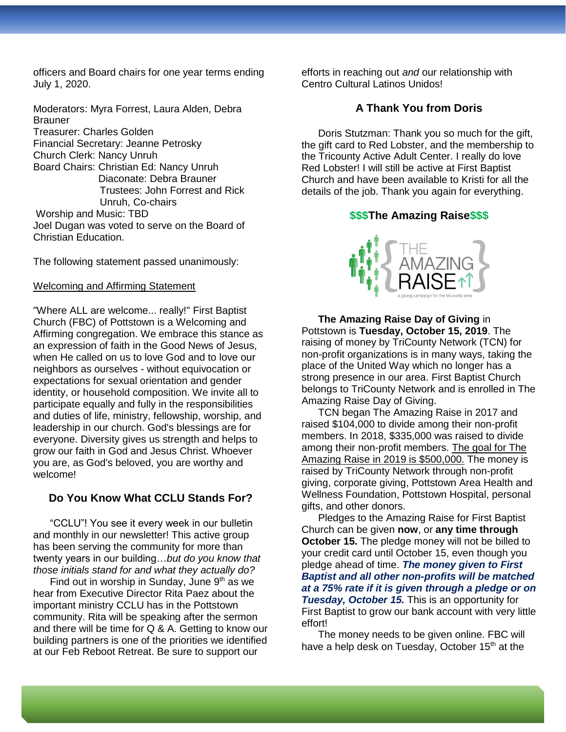officers and Board chairs for one year terms ending July 1, 2020.

Moderators: Myra Forrest, Laura Alden, Debra **Brauner** Treasurer: Charles Golden Financial Secretary: Jeanne Petrosky Church Clerk: Nancy Unruh Board Chairs: Christian Ed: Nancy Unruh Diaconate: Debra Brauner Trustees: John Forrest and Rick Unruh, Co-chairs Worship and Music: TBD Joel Dugan was voted to serve on the Board of Christian Education.

The following statement passed unanimously:

#### Welcoming and Affirming Statement

"Where ALL are welcome... really!" First Baptist Church (FBC) of Pottstown is a Welcoming and Affirming congregation. We embrace this stance as an expression of faith in the Good News of Jesus, when He called on us to love God and to love our neighbors as ourselves - without equivocation or expectations for sexual orientation and gender identity, or household composition. We invite all to participate equally and fully in the responsibilities and duties of life, ministry, fellowship, worship, and leadership in our church. God's blessings are for everyone. Diversity gives us strength and helps to grow our faith in God and Jesus Christ. Whoever you are, as God's beloved, you are worthy and welcome!

#### **Do You Know What CCLU Stands For?**

"CCLU"! You see it every week in our bulletin and monthly in our newsletter! This active group has been serving the community for more than twenty years in our building…*but do you know that those initials stand for and what they actually do?*

Find out in worship in Sunday, June  $9<sup>th</sup>$  as we hear from Executive Director Rita Paez about the important ministry CCLU has in the Pottstown community. Rita will be speaking after the sermon and there will be time for Q & A. Getting to know our building partners is one of the priorities we identified at our Feb Reboot Retreat. Be sure to support our

efforts in reaching out *and* our relationship with Centro Cultural Latinos Unidos!

#### **A Thank You from Doris**

Doris Stutzman: Thank you so much for the gift, the gift card to Red Lobster, and the membership to the Tricounty Active Adult Center. I really do love Red Lobster! I will still be active at First Baptist Church and have been available to Kristi for all the details of the job. Thank you again for everything.

#### **\$\$\$The Amazing Raise\$\$\$**



**The Amazing Raise Day of Giving** in Pottstown is **Tuesday, October 15, 2019**. The raising of money by TriCounty Network (TCN) for non-profit organizations is in many ways, taking the place of the United Way which no longer has a strong presence in our area. First Baptist Church belongs to TriCounty Network and is enrolled in The Amazing Raise Day of Giving.

TCN began The Amazing Raise in 2017 and raised \$104,000 to divide among their non-profit members. In 2018, \$335,000 was raised to divide among their non-profit members. The goal for The Amazing Raise in 2019 is \$500,000. The money is raised by TriCounty Network through non-profit giving, corporate giving, Pottstown Area Health and Wellness Foundation, Pottstown Hospital, personal gifts, and other donors.

Pledges to the Amazing Raise for First Baptist Church can be given **now**, or **any time through October 15.** The pledge money will not be billed to your credit card until October 15, even though you pledge ahead of time. *The money given to First Baptist and all other non-profits will be matched at a 75% rate if it is given through a pledge or on Tuesday, October 15.* This is an opportunity for First Baptist to grow our bank account with very little effort!

The money needs to be given online. FBC will have a help desk on Tuesday, October 15<sup>th</sup> at the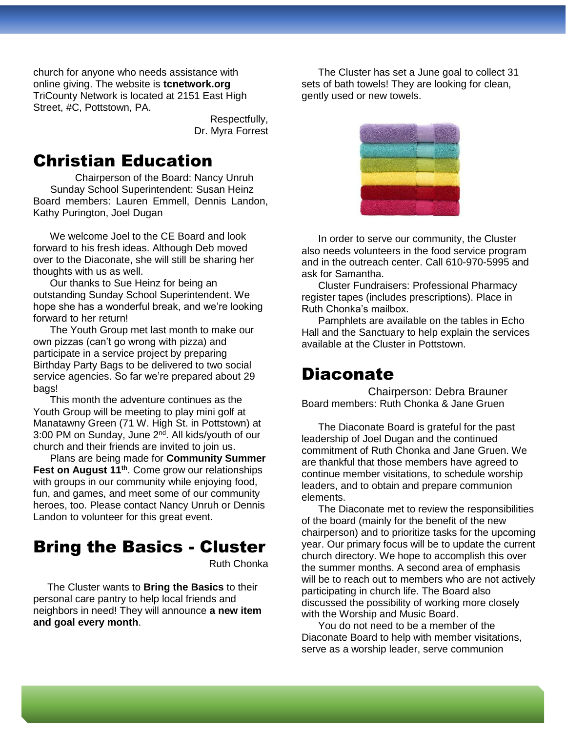church for anyone who needs assistance with online giving. The website is **tcnetwork.org** TriCounty Network is located at 2151 East High Street, #C, Pottstown, PA.

> Respectfully, Dr. Myra Forrest

## Christian Education

Chairperson of the Board: Nancy Unruh Sunday School Superintendent: Susan Heinz Board members: Lauren Emmell, Dennis Landon, Kathy Purington, Joel Dugan

We welcome Joel to the CE Board and look forward to his fresh ideas. Although Deb moved over to the Diaconate, she will still be sharing her thoughts with us as well.

Our thanks to Sue Heinz for being an outstanding Sunday School Superintendent. We hope she has a wonderful break, and we're looking forward to her return!

The Youth Group met last month to make our own pizzas (can't go wrong with pizza) and participate in a service project by preparing Birthday Party Bags to be delivered to two social service agencies. So far we're prepared about 29 bags!

This month the adventure continues as the Youth Group will be meeting to play mini golf at Manatawny Green (71 W. High St. in Pottstown) at 3:00 PM on Sunday, June 2<sup>nd</sup>. All kids/youth of our church and their friends are invited to join us.

Plans are being made for **Community Summer Fest on August 11th**. Come grow our relationships with groups in our community while enjoying food, fun, and games, and meet some of our community heroes, too. Please contact Nancy Unruh or Dennis Landon to volunteer for this great event.

# Bring the Basics - Cluster

Ruth Chonka

 The Cluster wants to **Bring the Basics** to their personal care pantry to help local friends and neighbors in need! They will announce **a new item and goal every month**.

The Cluster has set a June goal to collect 31 sets of bath towels! They are looking for clean, gently used or new towels.



In order to serve our community, the Cluster also needs volunteers in the food service program and in the outreach center. Call 610-970-5995 and ask for Samantha.

Cluster Fundraisers: Professional Pharmacy register tapes (includes prescriptions). Place in Ruth Chonka's mailbox.

Pamphlets are available on the tables in Echo Hall and the Sanctuary to help explain the services available at the Cluster in Pottstown.

## Diaconate

Chairperson: Debra Brauner Board members: Ruth Chonka & Jane Gruen

The Diaconate Board is grateful for the past leadership of Joel Dugan and the continued commitment of Ruth Chonka and Jane Gruen. We are thankful that those members have agreed to continue member visitations, to schedule worship leaders, and to obtain and prepare communion elements.

The Diaconate met to review the responsibilities of the board (mainly for the benefit of the new chairperson) and to prioritize tasks for the upcoming year. Our primary focus will be to update the current church directory. We hope to accomplish this over the summer months. A second area of emphasis will be to reach out to members who are not actively participating in church life. The Board also discussed the possibility of working more closely with the Worship and Music Board.

You do not need to be a member of the Diaconate Board to help with member visitations, serve as a worship leader, serve communion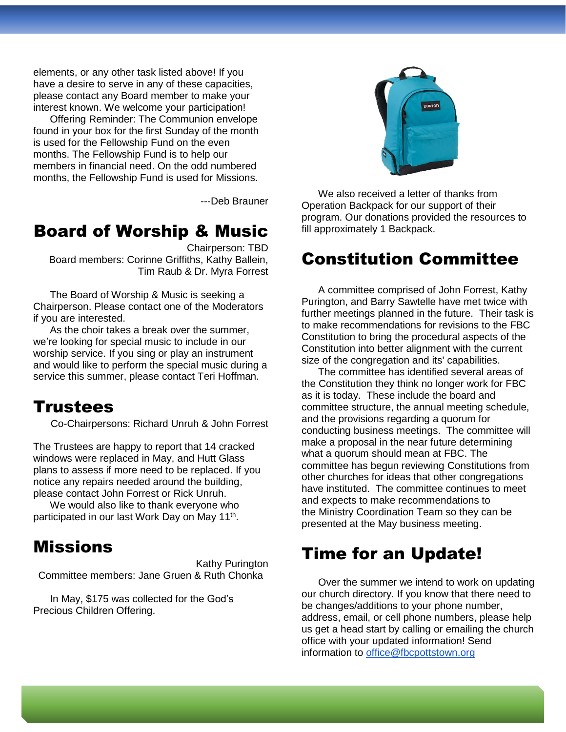elements, or any other task listed above! If you have a desire to serve in any of these capacities, please contact any Board member to make your interest known. We welcome your participation!

Offering Reminder: The Communion envelope found in your box for the first Sunday of the month is used for the Fellowship Fund on the even months. The Fellowship Fund is to help our members in financial need. On the odd numbered months, the Fellowship Fund is used for Missions.

---Deb Brauner

## Board of Worship & Music

Chairperson: TBD Board members: Corinne Griffiths, Kathy Ballein, Tim Raub & Dr. Myra Forrest

The Board of Worship & Music is seeking a Chairperson. Please contact one of the Moderators if you are interested.

As the choir takes a break over the summer, we're looking for special music to include in our worship service. If you sing or play an instrument and would like to perform the special music during a service this summer, please contact Teri Hoffman.

## Trustees

Co-Chairpersons: Richard Unruh & John Forrest

The Trustees are happy to report that 14 cracked windows were replaced in May, and Hutt Glass plans to assess if more need to be replaced. If you notice any repairs needed around the building, please contact John Forrest or Rick Unruh.

We would also like to thank everyone who participated in our last Work Day on May 11<sup>th</sup>.

# Missions

Kathy Purington Committee members: Jane Gruen & Ruth Chonka

In May, \$175 was collected for the God's Precious Children Offering.



We also received a letter of thanks from Operation Backpack for our support of their program. Our donations provided the resources to fill approximately 1 Backpack.

# Constitution Committee

A committee comprised of John Forrest, Kathy Purington, and Barry Sawtelle have met twice with further meetings planned in the future. Their task is to make recommendations for revisions to the FBC Constitution to bring the procedural aspects of the Constitution into better alignment with the current size of the congregation and its' capabilities.

The committee has identified several areas of the Constitution they think no longer work for FBC as it is today. These include the board and committee structure, the annual meeting schedule, and the provisions regarding a quorum for conducting business meetings. The committee will make a proposal in the near future determining what a quorum should mean at FBC. The committee has begun reviewing Constitutions from other churches for ideas that other congregations have instituted. The committee continues to meet and expects to make recommendations to the Ministry Coordination Team so they can be presented at the May business meeting.

# Time for an Update!

Over the summer we intend to work on updating our church directory. If you know that there need to be changes/additions to your phone number, address, email, or cell phone numbers, please help us get a head start by calling or emailing the church office with your updated information! Send information to [office@fbcpottstown.org](mailto:office@fbcpottstown.org)